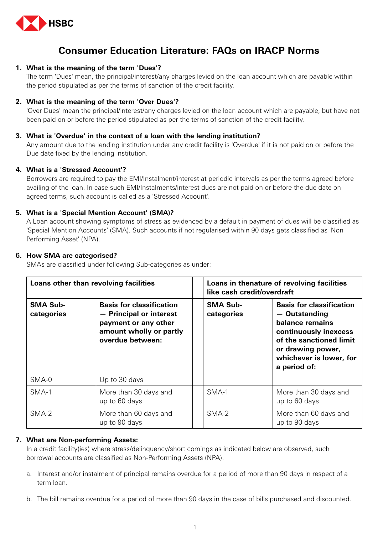

# **Consumer Education Literature: FAQs on IRACP Norms**

# **1. What is the meaning of the term 'Dues'?**

The term 'Dues' mean, the principal/interest/any charges levied on the loan account which are payable within the period stipulated as per the terms of sanction of the credit facility.

# **2. What is the meaning of the term 'Over Dues'?**

'Over Dues' mean the principal/interest/any charges levied on the loan account which are payable, but have not been paid on or before the period stipulated as per the terms of sanction of the credit facility.

# **3. What is 'Overdue' in the context of a loan with the lending institution?**

Any amount due to the lending institution under any credit facility is 'Overdue' if it is not paid on or before the Due date fixed by the lending institution.

# **4. What is a 'Stressed Account'?**

Borrowers are required to pay the EMI/Instalment/interest at periodic intervals as per the terms agreed before availing of the loan. In case such EMI/Instalments/interest dues are not paid on or before the due date on agreed terms, such account is called as a 'Stressed Account'.

# **5. What is a 'Special Mention Account' (SMA)?**

A Loan account showing symptoms of stress as evidenced by a default in payment of dues will be classified as 'Special Mention Accounts' (SMA). Such accounts if not regularised within 90 days gets classified as 'Non Performing Asset' (NPA).

# **6. How SMA are categorised?**

SMAs are classified under following Sub-categories as under:

| Loans other than revolving facilities |                                                                                                                                   | Loans in thenature of revolving facilities<br>like cash credit/overdraft |                                                                                                                                                                                         |
|---------------------------------------|-----------------------------------------------------------------------------------------------------------------------------------|--------------------------------------------------------------------------|-----------------------------------------------------------------------------------------------------------------------------------------------------------------------------------------|
| <b>SMA Sub-</b><br>categories         | <b>Basis for classification</b><br>- Principal or interest<br>payment or any other<br>amount wholly or partly<br>overdue between: | <b>SMA Sub-</b><br>categories                                            | <b>Basis for classification</b><br>- Outstanding<br>balance remains<br>continuously inexcess<br>of the sanctioned limit<br>or drawing power,<br>whichever is lower, for<br>a period of: |
| SMA-0                                 | Up to 30 days                                                                                                                     |                                                                          |                                                                                                                                                                                         |
| SMA-1                                 | More than 30 days and<br>up to 60 days                                                                                            | SMA-1                                                                    | More than 30 days and<br>up to 60 days                                                                                                                                                  |
| SMA-2                                 | More than 60 days and<br>up to 90 days                                                                                            | SMA-2                                                                    | More than 60 days and<br>up to 90 days                                                                                                                                                  |

# **7. What are Non-performing Assets:**

In a credit facility(ies) where stress/delinquency/short comings as indicated below are observed, such borrowal accounts are classified as Non-Performing Assets (NPA).

- a. Interest and/or instalment of principal remains overdue for a period of more than 90 days in respect of a term loan.
- b. The bill remains overdue for a period of more than 90 days in the case of bills purchased and discounted.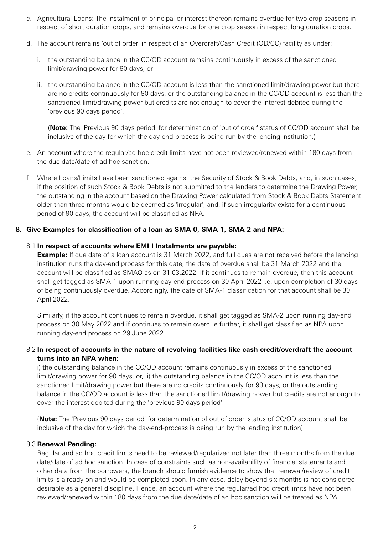- c. Agricultural Loans: The instalment of principal or interest thereon remains overdue for two crop seasons in respect of short duration crops, and remains overdue for one crop season in respect long duration crops.
- d. The account remains 'out of order' in respect of an Overdraft/Cash Credit (OD/CC) facility as under:
	- i. the outstanding balance in the CC/OD account remains continuously in excess of the sanctioned limit/drawing power for 90 days, or
	- ii. the outstanding balance in the CC/OD account is less than the sanctioned limit/drawing power but there are no credits continuously for 90 days, or the outstanding balance in the CC/OD account is less than the sanctioned limit/drawing power but credits are not enough to cover the interest debited during the 'previous 90 days period'.

 (**Note:** The 'Previous 90 days period' for determination of 'out of order' status of CC/OD account shall be inclusive of the day for which the day-end-process is being run by the lending institution.)

- e. An account where the regular/ad hoc credit limits have not been reviewed/renewed within 180 days from the due date/date of ad hoc sanction.
- f. Where Loans/Limits have been sanctioned against the Security of Stock & Book Debts, and, in such cases, if the position of such Stock & Book Debts is not submitted to the lenders to determine the Drawing Power, the outstanding in the account based on the Drawing Power calculated from Stock & Book Debts Statement older than three months would be deemed as 'irregular', and, if such irregularity exists for a continuous period of 90 days, the account will be classified as NPA.

# **8. Give Examples for classification of a loan as SMA-0, SMA-1, SMA-2 and NPA:**

#### 8.1 **In respect of accounts where EMI I Instalments are payable:**

 **Example:** If due date of a loan account is 31 March 2022, and full dues are not received before the lending institution runs the day-end process for this date, the date of overdue shall be 31 March 2022 and the account will be classified as SMAO as on 31.03.2022. If it continues to remain overdue, then this account shall get tagged as SMA-1 upon running day-end process on 30 April 2022 i.e. upon completion of 30 days of being continuously overdue. Accordingly, the date of SMA-1 classification for that account shall be 30 April 2022.

 Similarly, if the account continues to remain overdue, it shall get tagged as SMA-2 upon running day-end process on 30 May 2022 and if continues to remain overdue further, it shall get classified as NPA upon running day-end process on 29 June 2022.

# 8.2 **In respect of accounts in the nature of revolving facilities like cash credit/overdraft the account turns into an NPA when:**

 i) the outstanding balance in the CC/OD account remains continuously in excess of the sanctioned limit/drawing power for 90 days, or, ii) the outstanding balance in the CC/OD account is less than the sanctioned limit/drawing power but there are no credits continuously for 90 days, or the outstanding balance in the CC/OD account is less than the sanctioned limit/drawing power but credits are not enough to cover the interest debited during the 'previous 90 days period'.

 (**Note:** The 'Previous 90 days period' for determination of out of order' status of CC/OD account shall be inclusive of the day for which the day-end-process is being run by the lending institution).

#### 8.3 **Renewal Pending:**

Regular and ad hoc credit limits need to be reviewed/regularized not later than three months from the due date/date of ad hoc sanction. In case of constraints such as non-availability of financial statements and other data from the borrowers, the branch should furnish evidence to show that renewal/review of credit limits is already on and would be completed soon. In any case, delay beyond six months is not considered desirable as a general discipline. Hence, an account where the regular/ad hoc credit limits have not been reviewed/renewed within 180 days from the due date/date of ad hoc sanction will be treated as NPA.